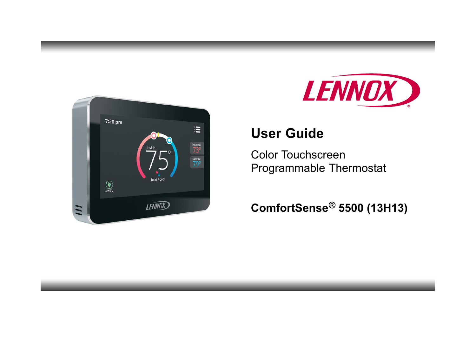



# **User Guide**

Color Touchscreen Programmable Thermostat

# **ComfortSense® 5500 (13H13)**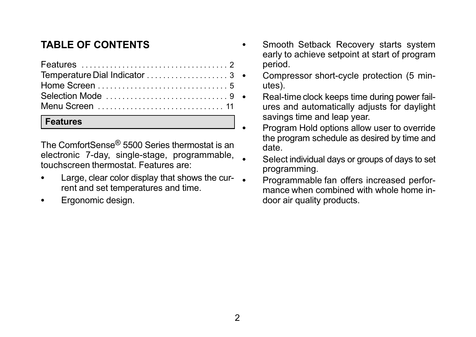# <span id="page-1-0"></span>**TABLE OF CONTENTS**

#### **Features**

The ComfortSense® 5500 Series thermostat is an electronic 7-day, single-stage, programmable, touchscreen thermostat. Features are:

- $\bullet$  Large, clear color display that shows the current and set temperatures and time.
- $\bullet$ Ergonomic design.
- $\bullet$  Smooth Setback Recovery starts system early to achieve setpoint at start of program period.
	- Compressor short-cycle protection (5 minutes).
	- Real-time clock keeps time during power failures and automatically adjusts for daylight savings time and leap year.
	- Program Hold options allow user to override the program schedule as desired by time and date.
	- Select individual days or groups of days to set programming.
	- Programmable fan offers increased performance when combined with whole home indoor air quality products.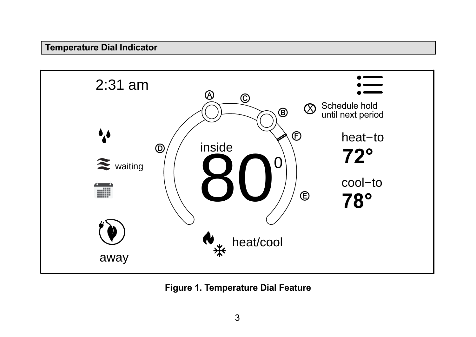### <span id="page-2-0"></span>**Temperature Dial Indicator**



**Figure 1. Temperature Dial Feature**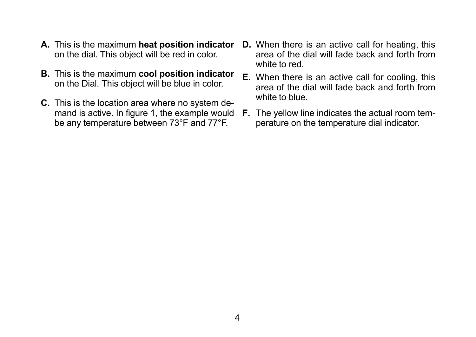- **A.** This is the maximum **heat position indicator** on the dial. This object will be red in color.
- **B.** This is the maximum **cool position indicator** on the Dial. This object will be blue in color.
- **C.** This is the location area where no system demand is active. In figure [1,](#page-2-0) the example would be any temperature between 73°F and 77°F.
- **D.** When there is an active call for heating, this area of the dial will fade back and forth from white to red.
- **E.** When there is an active call for cooling, this area of the dial will fade back and forth from white to blue.
- **F.** The yellow line indicates the actual room temperature on the temperature dial indicator.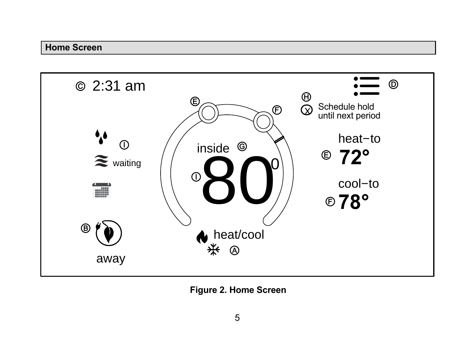#### <span id="page-4-0"></span>**Home Screen**



**Figure 2. Home Screen**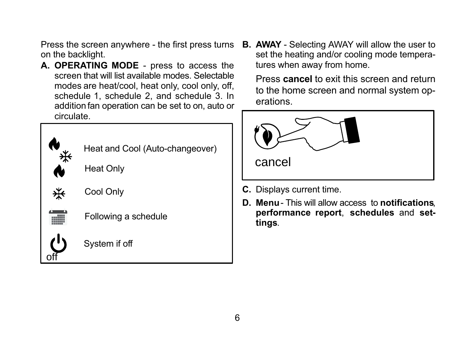<span id="page-5-0"></span>Press the screen anywhere - the first press turns on the backlight.

**A. OPERATING MODE** - press to access the screen that will list available modes. Selectable modes are heat/cool, heat only, cool only, off, schedule 1, schedule 2, and schedule 3. In addition fan operation can be set to on, auto or circulate.



Heat and Cool (Auto-changeover)

Heat Only



Cool Only



off

Following a schedule

System if off

**B. AWAY** - Selecting AWAY will allow the user to set the heating and/or cooling mode temperatures when away from home.

Press **cancel** to exit this screen and return to the home screen and normal system operations.



- **C.** Displays current time.
- **D. Menu**  This will allow access to **notifications**, **performance report**, **schedules** and **settings**.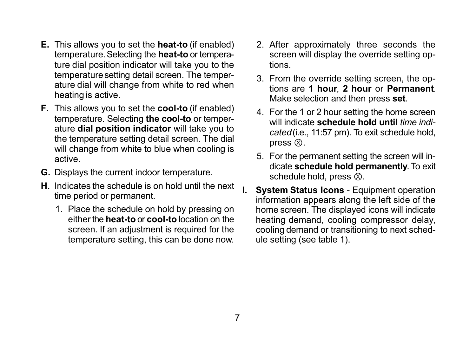- <span id="page-6-0"></span>**E.** This allows you to set the **heat-to** (if enabled) temperature. Selecting the **heat-to** or temperature dial position indicator will take you to the temperature setting detail screen. The temperature dial will change from white to red when heating is active.
- **F.** This allows you to set the **cool-to** (if enabled) temperature. Selecting **the cool-to** or temperature **dial position indicator** will take you to the temperature setting detail screen. The dial will change from white to blue when cooling is active.
- **G.** Displays the current indoor temperature.
- **H.** Indicates the schedule is on hold until the next time period or permanent.
	- 1. Place the schedule on hold by pressing on either the **heat-to** or **cool-to** location on the screen. If an adjustment is required for the temperature setting, this can be done now.
- 2. After approximately three seconds the screen will display the override setting options.
- 3. From the override setting screen, the options are **1 hour**, **2 hour** or **Permanent**. Make selection and then press **set**.
- 4. For the 1 or 2 hour setting the home screen will indicate **schedule hold until** *time indicated*(i.e., 11:57 pm). To exit schedule hold, press  $\otimes$ .
- 5. For the permanent setting the screen will indicate **schedule hold permanently**. To exit schedule hold, press  $\bar{\infty}$ .
- **System Status Icons Equipment operation** information appears along the left side of the home screen. The displayed icons will indicate heating demand, cooling compressor delay, cooling demand or transitioning to next schedule setting (see table [1](#page-7-0)).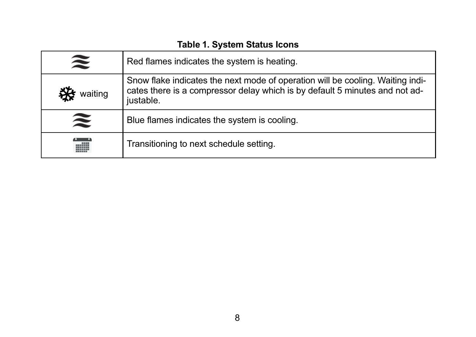<span id="page-7-0"></span>

| $\widetilde{\approx}$ | Red flames indicates the system is heating.                                                                                                                                |
|-----------------------|----------------------------------------------------------------------------------------------------------------------------------------------------------------------------|
| waiting               | Snow flake indicates the next mode of operation will be cooling. Waiting indi-<br>cates there is a compressor delay which is by default 5 minutes and not ad-<br>justable. |
| $\widetilde{\approx}$ | Blue flames indicates the system is cooling.                                                                                                                               |
|                       | Transitioning to next schedule setting.                                                                                                                                    |

## **Table 1. System Status Icons**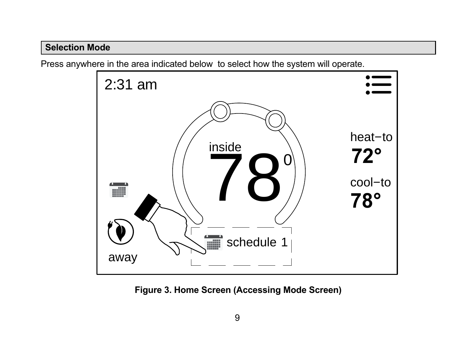### <span id="page-8-0"></span>**Selection Mode**

Press anywhere in the area indicated below to select how the system will operate.



**Figure 3. Home Screen (Accessing Mode Screen)**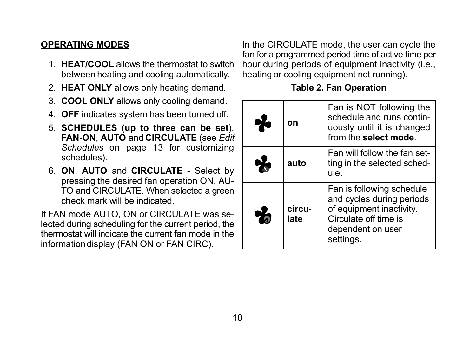#### <span id="page-9-0"></span>**OPERATING MODES**

- 1. **HEAT/COOL** allows the thermostat to switch between heating and cooling automatically.
- 2. **HEAT ONLY** allows only heating demand.
- 3. **COOL ONLY** allows only cooling demand.
- 4. **OFF** indicates system has been turned off.
- 5. **SCHEDULES** (**up to three can be set**), **FAN-ON**, **AUTO** and **CIRCULATE** (see *Edit Schedules* on page [13](#page-12-0) for customizing schedules).
- 6. **ON**, **AUTO** and **CIRCULATE** Select by pressing the desired fan operation ON, AU-TO and CIRCULATE. When selected a green check mark will be indicated.

If FAN mode AUTO, ON or CIRCULATE was selected during scheduling for the current period, the thermostat will indicate the current fan mode in the information display (FAN ON or FAN CIRC).

In the CIRCULATE mode, the user can cycle the fan for a programmed period time of active time per hour during periods of equipment inactivity (i.e., heating or cooling equipment not running).

#### **Table 2. Fan Operation**

|   | on             | Fan is NOT following the<br>schedule and runs contin-<br>uously until it is changed<br>from the select mode.                                  |
|---|----------------|-----------------------------------------------------------------------------------------------------------------------------------------------|
|   | auto           | Fan will follow the fan set-<br>ting in the selected sched-<br>ule.                                                                           |
| Ж | circu-<br>late | Fan is following schedule<br>and cycles during periods<br>of equipment inactivity.<br>Circulate off time is<br>dependent on user<br>settings. |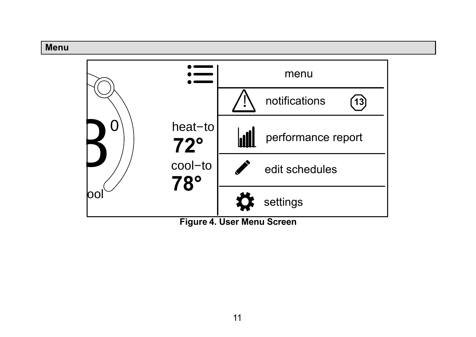#### <span id="page-10-0"></span>**Menu**



**Figure 4. User Menu Screen**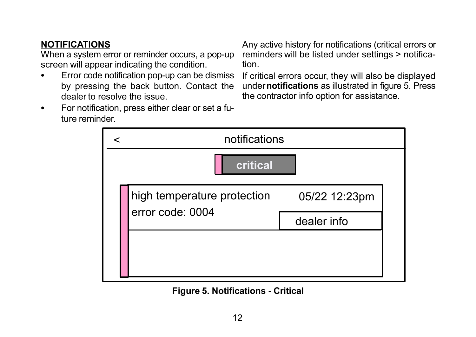## <span id="page-11-0"></span>**NOTIFICATIONS**

When a system error or reminder occurs, a pop-up screen will appear indicating the condition. -

**Error code notification pop-up can be dismiss** by pressing the back button. Contact the dealer to resolve the issue.

Any active history for notifications (critical errors or reminders will be listed under settings > notification.

If critical errors occur, they will also be displayed under **notifications** as illustrated in figure 5. Press the contractor info option for assistance.

 $\bullet$  For notification, press either clear or set a future reminder.

|          |  | notifications               |               |  |
|----------|--|-----------------------------|---------------|--|
| critical |  |                             |               |  |
|          |  | high temperature protection | 05/22 12:23pm |  |
|          |  | error code: 0004            | dealer info   |  |
|          |  |                             |               |  |
|          |  |                             |               |  |

**Figure 5. Notifications - Critical**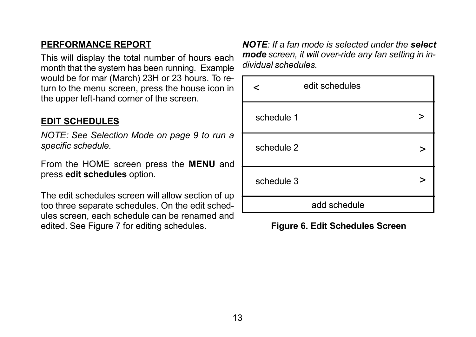#### <span id="page-12-0"></span>**PERFORMANCE REPORT**

This will display the total number of hours each month that the system has been running. Example would be for mar (March) 23H or 23 hours. To return to the menu screen, press the house icon in the upper left-hand corner of the screen.

#### **EDIT SCHEDULES**

*NOTE: See Selection Mode on page [9](#page-8-0) to run a specific schedule.*

From the HOME screen press the **MENU** and press **edit schedules** option.

The edit schedules screen will allow section of up too three separate schedules. On the edit schedules screen, each schedule can be renamed and edited. See Figure [7](#page-13-0) for editing schedules.

*NOTE: If a fan mode is selected under the select mode screen, it will over-ride any fan setting in individual schedules.*

|            | edit schedules |  |
|------------|----------------|--|
| schedule 1 |                |  |
| schedule 2 |                |  |
| schedule 3 |                |  |
|            | add schedule   |  |

#### **Figure 6. Edit Schedules Screen**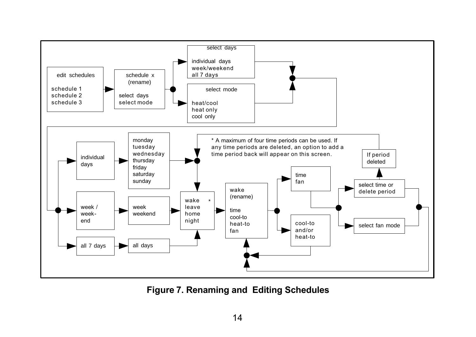<span id="page-13-0"></span>

**Figure 7. Renaming and Editing Schedules**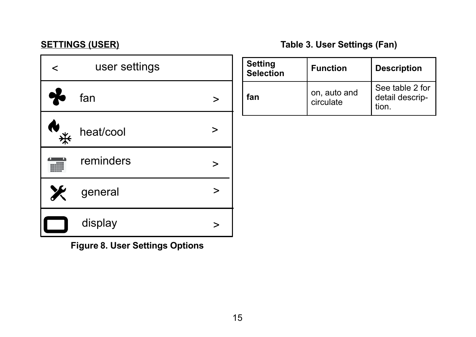## <span id="page-14-0"></span>**SETTINGS (USER)**

# **Table 3. User Settings (Fan)**

| < | user settings |  |
|---|---------------|--|
|   | fan           |  |
|   | heat/cool     |  |
|   | reminders     |  |
| Ж | general       |  |
|   | display       |  |

**Figure 8. User Settings Options**

| <b>Setting</b><br><b>Selection</b> | <b>Function</b>           | <b>Description</b>                          |
|------------------------------------|---------------------------|---------------------------------------------|
| fan                                | on, auto and<br>circulate | See table 2 for<br>detail descrip-<br>tion. |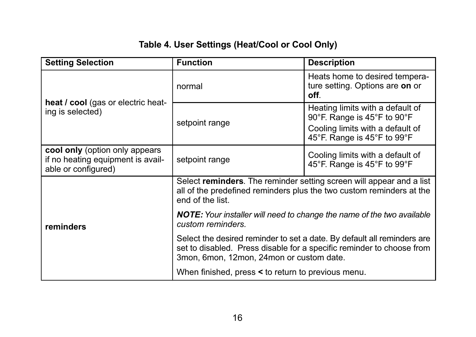# **Table 4. User Settings (Heat/Cool or Cool Only)**

<span id="page-15-0"></span>

| <b>Setting Selection</b>                                                                   | <b>Function</b>                                                                                                                                                                              | <b>Description</b>                                                                                                                 |  |
|--------------------------------------------------------------------------------------------|----------------------------------------------------------------------------------------------------------------------------------------------------------------------------------------------|------------------------------------------------------------------------------------------------------------------------------------|--|
| heat / cool (gas or electric heat-<br>ing is selected)                                     | normal                                                                                                                                                                                       | Heats home to desired tempera-<br>ture setting. Options are on or<br>off.                                                          |  |
|                                                                                            | setpoint range                                                                                                                                                                               | Heating limits with a default of<br>90°F. Range is 45°F to 90°F<br>Cooling limits with a default of<br>45°F. Range is 45°F to 99°F |  |
| cool only (option only appears<br>if no heating equipment is avail-<br>able or configured) | setpoint range                                                                                                                                                                               | Cooling limits with a default of<br>45°F. Range is 45°F to 99°F                                                                    |  |
|                                                                                            | Select reminders. The reminder setting screen will appear and a list<br>all of the predefined reminders plus the two custom reminders at the<br>end of the list                              |                                                                                                                                    |  |
| reminders                                                                                  | <b>NOTE:</b> Your installer will need to change the name of the two available<br>custom reminders.                                                                                           |                                                                                                                                    |  |
|                                                                                            | Select the desired reminder to set a date. By default all reminders are<br>set to disabled. Press disable for a specific reminder to choose from<br>3mon, 6mon, 12mon, 24mon or custom date. |                                                                                                                                    |  |
|                                                                                            | When finished, press < to return to previous menu.                                                                                                                                           |                                                                                                                                    |  |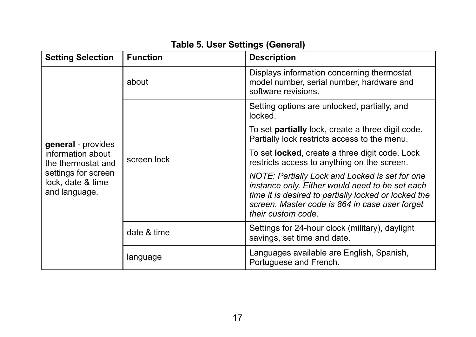<span id="page-16-0"></span>

| <b>Setting Selection</b>                                  | <b>Function</b> | <b>Description</b>                                                                                                                                                                                                                |
|-----------------------------------------------------------|-----------------|-----------------------------------------------------------------------------------------------------------------------------------------------------------------------------------------------------------------------------------|
|                                                           | about           | Displays information concerning thermostat<br>model number, serial number, hardware and<br>software revisions.                                                                                                                    |
|                                                           | screen lock     | Setting options are unlocked, partially, and<br>locked.                                                                                                                                                                           |
| general - provides                                        |                 | To set <b>partially</b> lock, create a three digit code.<br>Partially lock restricts access to the menu.                                                                                                                          |
| information about<br>the thermostat and                   |                 | To set <b>locked</b> , create a three digit code. Lock<br>restricts access to anything on the screen.                                                                                                                             |
| settings for screen<br>lock, date & time<br>and language. |                 | NOTE: Partially Lock and Locked is set for one<br>instance only. Either would need to be set each<br>time it is desired to partially locked or locked the<br>screen. Master code is 864 in case user forget<br>their custom code. |
|                                                           | date & time     | Settings for 24-hour clock (military), daylight<br>savings, set time and date.                                                                                                                                                    |
|                                                           | language        | Languages available are English, Spanish,<br>Portuguese and French.                                                                                                                                                               |

# **Table 5. User Settings (General)**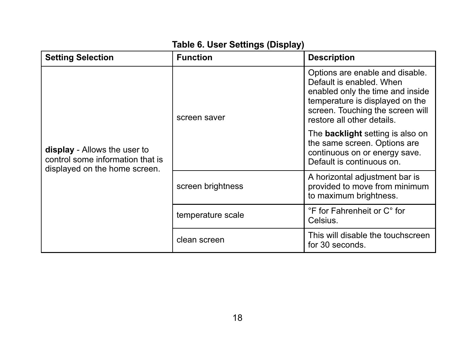# **Table 6. User Settings (Display)**

<span id="page-17-0"></span>

| <b>Setting Selection</b>                                                                          | <b>Function</b>   | <b>Description</b>                                                                                                                                                                                   |
|---------------------------------------------------------------------------------------------------|-------------------|------------------------------------------------------------------------------------------------------------------------------------------------------------------------------------------------------|
| display - Allows the user to<br>control some information that is<br>displayed on the home screen. | screen saver      | Options are enable and disable.<br>Default is enabled. When<br>enabled only the time and inside<br>temperature is displayed on the<br>screen. Touching the screen will<br>restore all other details. |
|                                                                                                   |                   | The <b>backlight</b> setting is also on<br>the same screen. Options are<br>continuous on or energy save.<br>Default is continuous on.                                                                |
|                                                                                                   | screen brightness | A horizontal adjustment bar is<br>provided to move from minimum<br>to maximum brightness.                                                                                                            |
|                                                                                                   | temperature scale | °F for Fahrenheit or C° for<br>Celsius.                                                                                                                                                              |
|                                                                                                   | clean screen      | This will disable the touchscreen<br>for 30 seconds.                                                                                                                                                 |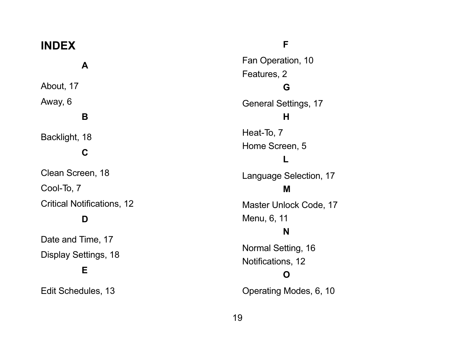| <b>INDEX</b>                                   | F                                            |
|------------------------------------------------|----------------------------------------------|
| A                                              | Fan Operation, 10                            |
| About, 17                                      | Features, 2<br>G                             |
| Away, 6                                        | General Settings, 17                         |
| в                                              | н                                            |
| Backlight, 18<br>С                             | Heat-To, 7<br>Home Screen, 5                 |
| Clean Screen, 18<br>Cool-To, 7                 | Language Selection, 17<br>М                  |
| Critical Notifications, 12                     | Master Unlock Code, 17                       |
| D                                              | Menu, 6, 11<br>N                             |
| Date and Time, 17<br>Display Settings, 18<br>Е | Normal Setting, 16<br>Notifications, 12<br>Ω |
| Edit Schedules, 13                             | Operating Modes, 6, 10                       |